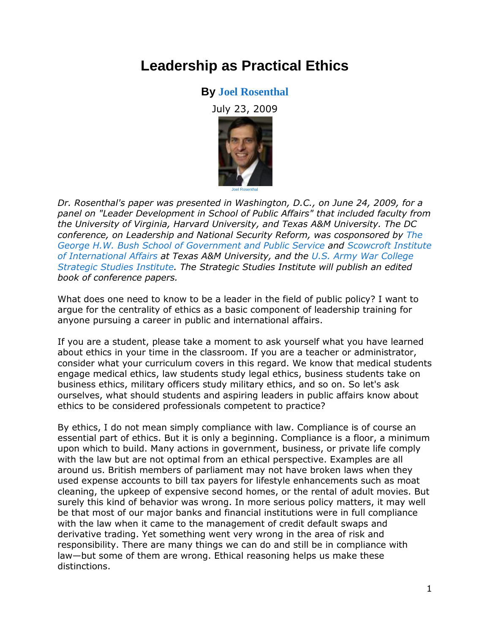# **Leadership as Practical Ethics**

# **By [Joel Rosenthal](http://www.policyinnovations.org/innovators/people/data/07536)**

July 23, 2009



*Dr. Rosenthal's paper was presented in Washington, D.C., on June 24, 2009, for a panel on "Leader Development in School of Public Affairs" that included faculty from the University of Virginia, Harvard University, and Texas A&M University. The DC conference, on Leadership and National Security Reform, was cosponsored by [The](http://bush.tamu.edu/)  [George H.W. Bush School of Government and Public Service](http://bush.tamu.edu/) and [Scowcroft Institute](http://bush.tamu.edu/scowcroft/)  [of International Affairs](http://bush.tamu.edu/scowcroft/) at Texas A&M University, and the [U.S. Army War College](http://www.strategicstudiesinstitute.army.mil/)  [Strategic Studies Institute.](http://www.strategicstudiesinstitute.army.mil/) The Strategic Studies Institute will publish an edited book of conference papers.*

What does one need to know to be a leader in the field of public policy? I want to argue for the centrality of ethics as a basic component of leadership training for anyone pursuing a career in public and international affairs.

If you are a student, please take a moment to ask yourself what you have learned about ethics in your time in the classroom. If you are a teacher or administrator, consider what your curriculum covers in this regard. We know that medical students engage medical ethics, law students study legal ethics, business students take on business ethics, military officers study military ethics, and so on. So let's ask ourselves, what should students and aspiring leaders in public affairs know about ethics to be considered professionals competent to practice?

By ethics, I do not mean simply compliance with law. Compliance is of course an essential part of ethics. But it is only a beginning. Compliance is a floor, a minimum upon which to build. Many actions in government, business, or private life comply with the law but are not optimal from an ethical perspective. Examples are all around us. British members of parliament may not have broken laws when they used expense accounts to bill tax payers for lifestyle enhancements such as moat cleaning, the upkeep of expensive second homes, or the rental of adult movies. But surely this kind of behavior was wrong. In more serious policy matters, it may well be that most of our major banks and financial institutions were in full compliance with the law when it came to the management of credit default swaps and derivative trading. Yet something went very wrong in the area of risk and responsibility. There are many things we can do and still be in compliance with law—but some of them are wrong. Ethical reasoning helps us make these distinctions.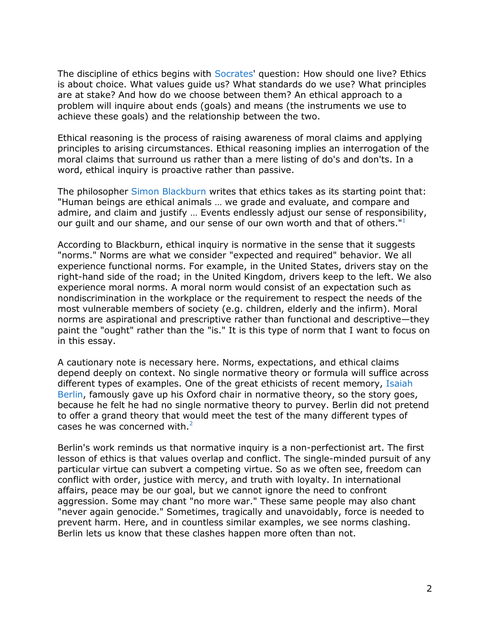The discipline of ethics begins with [Socrates'](http://www.philosophypages.com/ph/socr.htm) question: How should one live? Ethics is about choice. What values guide us? What standards do we use? What principles are at stake? And how do we choose between them? An ethical approach to a problem will inquire about ends (goals) and means (the instruments we use to achieve these goals) and the relationship between the two.

Ethical reasoning is the process of raising awareness of moral claims and applying principles to arising circumstances. Ethical reasoning implies an interrogation of the moral claims that surround us rather than a mere listing of do's and don'ts. In a word, ethical inquiry is proactive rather than passive.

The philosopher [Simon Blackburn](http://www.phil.cam.ac.uk/~swb24/) writes that ethics takes as its starting point that: "Human beings are ethical animals … we grade and evaluate, and compare and admire, and claim and justify … Events endlessly adjust our sense of responsibility, our guilt and our shame, and our sense of our own worth and that of others." $1$ 

According to Blackburn, ethical inquiry is normative in the sense that it suggests "norms." Norms are what we consider "expected and required" behavior. We all experience functional norms. For example, in the United States, drivers stay on the right-hand side of the road; in the United Kingdom, drivers keep to the left. We also experience moral norms. A moral norm would consist of an expectation such as nondiscrimination in the workplace or the requirement to respect the needs of the most vulnerable members of society (e.g. children, elderly and the infirm). Moral norms are aspirational and prescriptive rather than functional and descriptive—they paint the "ought" rather than the "is." It is this type of norm that I want to focus on in this essay.

A cautionary note is necessary here. Norms, expectations, and ethical claims depend deeply on context. No single normative theory or formula will suffice across different types of examples. One of the great ethicists of recent memory, [Isaiah](http://plato.stanford.edu/entries/berlin/)  [Berlin,](http://plato.stanford.edu/entries/berlin/) famously gave up his Oxford chair in normative theory, so the story goes, because he felt he had no single normative theory to purvey. Berlin did not pretend to offer a grand theory that would meet the test of the many different types of cases he was concerned with[.](http://www.policyinnovations.org/ideas/briefings/data/000140#_footnote2) $2<sup>2</sup>$ 

Berlin's work reminds us that normative inquiry is a non-perfectionist art. The first lesson of ethics is that values overlap and conflict. The single-minded pursuit of any particular virtue can subvert a competing virtue. So as we often see, freedom can conflict with order, justice with mercy, and truth with loyalty. In international affairs, peace may be our goal, but we cannot ignore the need to confront aggression. Some may chant "no more war." These same people may also chant "never again genocide." Sometimes, tragically and unavoidably, force is needed to prevent harm. Here, and in countless similar examples, we see norms clashing. Berlin lets us know that these clashes happen more often than not.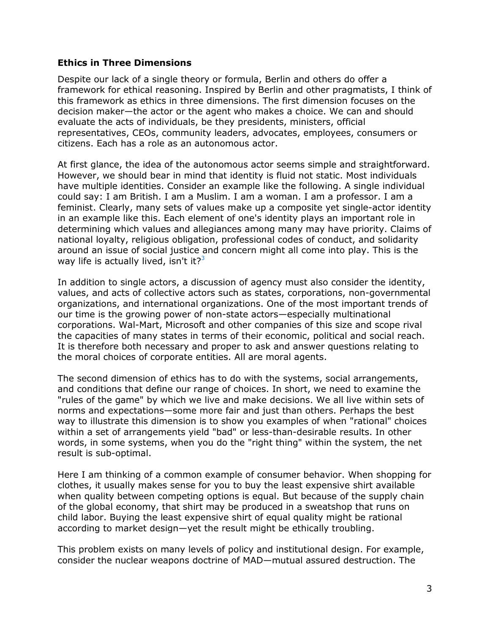## **Ethics in Three Dimensions**

Despite our lack of a single theory or formula, Berlin and others do offer a framework for ethical reasoning. Inspired by Berlin and other pragmatists, I think of this framework as ethics in three dimensions. The first dimension focuses on the decision maker—the actor or the agent who makes a choice. We can and should evaluate the acts of individuals, be they presidents, ministers, official representatives, CEOs, community leaders, advocates, employees, consumers or citizens. Each has a role as an autonomous actor.

At first glance, the idea of the autonomous actor seems simple and straightforward. However, we should bear in mind that identity is fluid not static. Most individuals have multiple identities. Consider an example like the following. A single individual could say: I am British. I am a Muslim. I am a woman. I am a professor. I am a feminist. Clearly, many sets of values make up a composite yet single-actor identity in an example like this. Each element of one's identity plays an important role in determining which values and allegiances among many may have priority. Claims of national loyalty, religious obligation, professional codes of conduct, and solidarity around an issue of social justice and concern might all come into play. This is the way life is actually lived, isn't it? $3^3$  $3^3$ 

In addition to single actors, a discussion of agency must also consider the identity, values, and acts of collective actors such as states, corporations, non-governmental organizations, and international organizations. One of the most important trends of our time is the growing power of non-state actors—especially multinational corporations. Wal-Mart, Microsoft and other companies of this size and scope rival the capacities of many states in terms of their economic, political and social reach. It is therefore both necessary and proper to ask and answer questions relating to the moral choices of corporate entities. All are moral agents.

The second dimension of ethics has to do with the systems, social arrangements, and conditions that define our range of choices. In short, we need to examine the "rules of the game" by which we live and make decisions. We all live within sets of norms and expectations—some more fair and just than others. Perhaps the best way to illustrate this dimension is to show you examples of when "rational" choices within a set of arrangements yield "bad" or less-than-desirable results. In other words, in some systems, when you do the "right thing" within the system, the net result is sub-optimal.

Here I am thinking of a common example of consumer behavior. When shopping for clothes, it usually makes sense for you to buy the least expensive shirt available when quality between competing options is equal. But because of the supply chain of the global economy, that shirt may be produced in a sweatshop that runs on child labor. Buying the least expensive shirt of equal quality might be rational according to market design—yet the result might be ethically troubling.

This problem exists on many levels of policy and institutional design. For example, consider the nuclear weapons doctrine of MAD—mutual assured destruction. The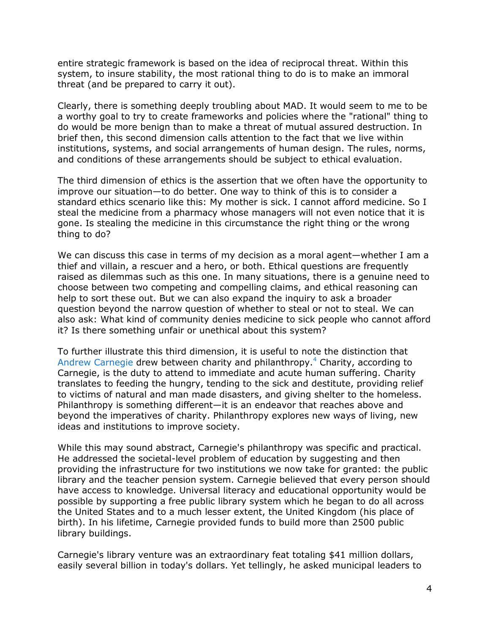entire strategic framework is based on the idea of reciprocal threat. Within this system, to insure stability, the most rational thing to do is to make an immoral threat (and be prepared to carry it out).

Clearly, there is something deeply troubling about MAD. It would seem to me to be a worthy goal to try to create frameworks and policies where the "rational" thing to do would be more benign than to make a threat of mutual assured destruction. In brief then, this second dimension calls attention to the fact that we live within institutions, systems, and social arrangements of human design. The rules, norms, and conditions of these arrangements should be subject to ethical evaluation.

The third dimension of ethics is the assertion that we often have the opportunity to improve our situation—to do better. One way to think of this is to consider a standard ethics scenario like this: My mother is sick. I cannot afford medicine. So I steal the medicine from a pharmacy whose managers will not even notice that it is gone. Is stealing the medicine in this circumstance the right thing or the wrong thing to do?

We can discuss this case in terms of my decision as a moral agent—whether I am a thief and villain, a rescuer and a hero, or both. Ethical questions are frequently raised as dilemmas such as this one. In many situations, there is a genuine need to choose between two competing and compelling claims, and ethical reasoning can help to sort these out. But we can also expand the inquiry to ask a broader question beyond the narrow question of whether to steal or not to steal. We can also ask: What kind of community denies medicine to sick people who cannot afford it? Is there something unfair or unethical about this system?

To further illustrate this third dimension, it is useful to note the distinction that [Andrew Carnegie](http://www.cceia.org/people/data/andrew_carnegie.html) drew between charity and philanthropy.[4](http://www.policyinnovations.org/ideas/briefings/data/000140#_footnote4) Charity, according to Carnegie, is the duty to attend to immediate and acute human suffering. Charity translates to feeding the hungry, tending to the sick and destitute, providing relief to victims of natural and man made disasters, and giving shelter to the homeless. Philanthropy is something different—it is an endeavor that reaches above and beyond the imperatives of charity. Philanthropy explores new ways of living, new ideas and institutions to improve society.

While this may sound abstract, Carnegie's philanthropy was specific and practical. He addressed the societal-level problem of education by suggesting and then providing the infrastructure for two institutions we now take for granted: the public library and the teacher pension system. Carnegie believed that every person should have access to knowledge. Universal literacy and educational opportunity would be possible by supporting a free public library system which he began to do all across the United States and to a much lesser extent, the United Kingdom (his place of birth). In his lifetime, Carnegie provided funds to build more than 2500 public library buildings.

Carnegie's library venture was an extraordinary feat totaling \$41 million dollars, easily several billion in today's dollars. Yet tellingly, he asked municipal leaders to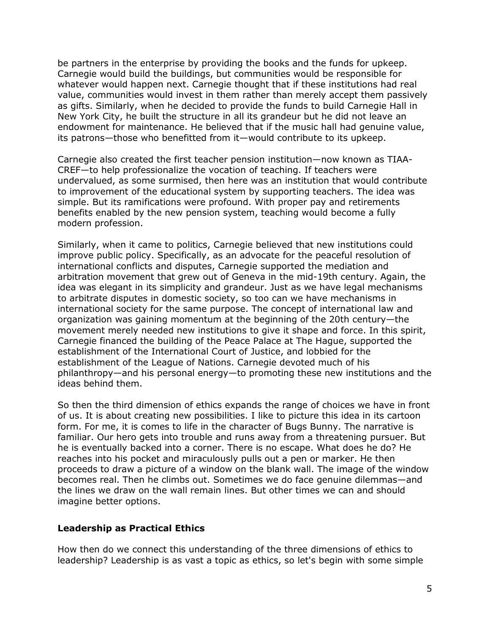be partners in the enterprise by providing the books and the funds for upkeep. Carnegie would build the buildings, but communities would be responsible for whatever would happen next. Carnegie thought that if these institutions had real value, communities would invest in them rather than merely accept them passively as gifts. Similarly, when he decided to provide the funds to build Carnegie Hall in New York City, he built the structure in all its grandeur but he did not leave an endowment for maintenance. He believed that if the music hall had genuine value, its patrons—those who benefitted from it—would contribute to its upkeep.

Carnegie also created the first teacher pension institution—now known as TIAA-CREF—to help professionalize the vocation of teaching. If teachers were undervalued, as some surmised, then here was an institution that would contribute to improvement of the educational system by supporting teachers. The idea was simple. But its ramifications were profound. With proper pay and retirements benefits enabled by the new pension system, teaching would become a fully modern profession.

Similarly, when it came to politics, Carnegie believed that new institutions could improve public policy. Specifically, as an advocate for the peaceful resolution of international conflicts and disputes, Carnegie supported the mediation and arbitration movement that grew out of Geneva in the mid-19th century. Again, the idea was elegant in its simplicity and grandeur. Just as we have legal mechanisms to arbitrate disputes in domestic society, so too can we have mechanisms in international society for the same purpose. The concept of international law and organization was gaining momentum at the beginning of the 20th century—the movement merely needed new institutions to give it shape and force. In this spirit, Carnegie financed the building of the Peace Palace at The Hague, supported the establishment of the International Court of Justice, and lobbied for the establishment of the League of Nations. Carnegie devoted much of his philanthropy—and his personal energy—to promoting these new institutions and the ideas behind them.

So then the third dimension of ethics expands the range of choices we have in front of us. It is about creating new possibilities. I like to picture this idea in its cartoon form. For me, it is comes to life in the character of Bugs Bunny. The narrative is familiar. Our hero gets into trouble and runs away from a threatening pursuer. But he is eventually backed into a corner. There is no escape. What does he do? He reaches into his pocket and miraculously pulls out a pen or marker. He then proceeds to draw a picture of a window on the blank wall. The image of the window becomes real. Then he climbs out. Sometimes we do face genuine dilemmas—and the lines we draw on the wall remain lines. But other times we can and should imagine better options.

#### **Leadership as Practical Ethics**

How then do we connect this understanding of the three dimensions of ethics to leadership? Leadership is as vast a topic as ethics, so let's begin with some simple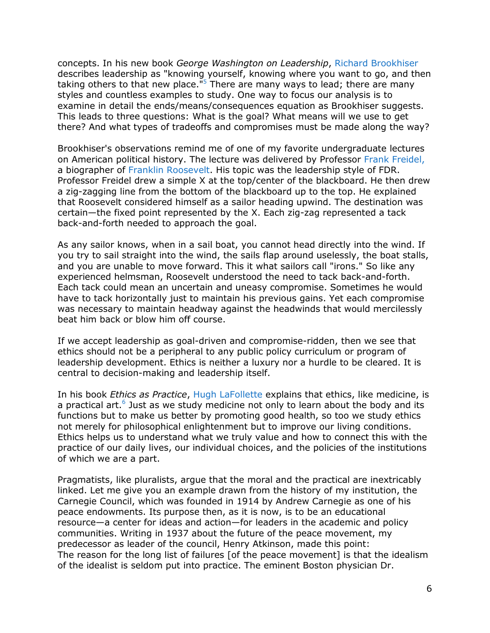concepts. In his new book *George Washington on Leadership*, [Richard Brookhiser](http://www.richardbrookhiser.com/) describes leadership as "knowing yourself, knowing where you want to go, and then taking others to that new place.<sup>"[5](http://www.policyinnovations.org/ideas/briefings/data/000140#_footnote5)</sup> There are many ways to lead; there are many styles and countless examples to study. One way to focus our analysis is to examine in detail the ends/means/consequences equation as Brookhiser suggests. This leads to three questions: What is the goal? What means will we use to get there? And what types of tradeoffs and compromises must be made along the way?

Brookhiser's observations remind me of one of my favorite undergraduate lectures on American political history. The lecture was delivered by Professor [Frank Freidel,](http://www.nytimes.com/1993/01/26/us/frank-freidel-biographer-of-fdr-is-dead-at-76.html) a biographer of [Franklin Roosevelt.](http://en.wikipedia.org/wiki/Franklin_D._Roosevelt) His topic was the leadership style of FDR. Professor Freidel drew a simple X at the top/center of the blackboard. He then drew a zig-zagging line from the bottom of the blackboard up to the top. He explained that Roosevelt considered himself as a sailor heading upwind. The destination was certain—the fixed point represented by the X. Each zig-zag represented a tack back-and-forth needed to approach the goal.

As any sailor knows, when in a sail boat, you cannot head directly into the wind. If you try to sail straight into the wind, the sails flap around uselessly, the boat stalls, and you are unable to move forward. This it what sailors call "irons." So like any experienced helmsman, Roosevelt understood the need to tack back-and-forth. Each tack could mean an uncertain and uneasy compromise. Sometimes he would have to tack horizontally just to maintain his previous gains. Yet each compromise was necessary to maintain headway against the headwinds that would mercilessly beat him back or blow him off course.

If we accept leadership as goal-driven and compromise-ridden, then we see that ethics should not be a peripheral to any public policy curriculum or program of leadership development. Ethics is neither a luxury nor a hurdle to be cleared. It is central to decision-making and leadership itself.

In his book *Ethics as Practice*, [Hugh LaFollette](http://www.hughlafollette.com/) explains that ethics, like medicine, is a practical art.<sup>[6](http://www.policyinnovations.org/ideas/briefings/data/000140#_footnote6)</sup> Just as we study medicine not only to learn about the body and its functions but to make us better by promoting good health, so too we study ethics not merely for philosophical enlightenment but to improve our living conditions. Ethics helps us to understand what we truly value and how to connect this with the practice of our daily lives, our individual choices, and the policies of the institutions of which we are a part.

Pragmatists, like pluralists, argue that the moral and the practical are inextricably linked. Let me give you an example drawn from the history of my institution, the Carnegie Council, which was founded in 1914 by Andrew Carnegie as one of his peace endowments. Its purpose then, as it is now, is to be an educational resource—a center for ideas and action—for leaders in the academic and policy communities. Writing in 1937 about the future of the peace movement, my predecessor as leader of the council, Henry Atkinson, made this point: The reason for the long list of failures [of the peace movement] is that the idealism of the idealist is seldom put into practice. The eminent Boston physician Dr.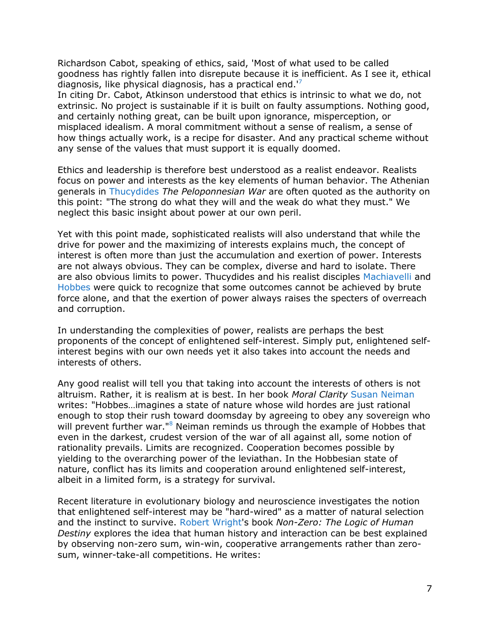Richardson Cabot, speaking of ethics, said, 'Most of what used to be called goodness has rightly fallen into disrepute because it is inefficient. As I see it, ethical diagnosis, like physical diagnosis, has a practical end.<sup> $7$ </sup>

In citing Dr. Cabot, Atkinson understood that ethics is intrinsic to what we do, not extrinsic. No project is sustainable if it is built on faulty assumptions. Nothing good, and certainly nothing great, can be built upon ignorance, misperception, or misplaced idealism. A moral commitment without a sense of realism, a sense of how things actually work, is a recipe for disaster. And any practical scheme without any sense of the values that must support it is equally doomed.

Ethics and leadership is therefore best understood as a realist endeavor. Realists focus on power and interests as the key elements of human behavior. The Athenian generals in [Thucydides](http://en.wikipedia.org/wiki/Thucydides) *The Peloponnesian War* are often quoted as the authority on this point: "The strong do what they will and the weak do what they must." We neglect this basic insight about power at our own peril.

Yet with this point made, sophisticated realists will also understand that while the drive for power and the maximizing of interests explains much, the concept of interest is often more than just the accumulation and exertion of power. Interests are not always obvious. They can be complex, diverse and hard to isolate. There are also obvious limits to power. Thucydides and his realist disciples [Machiavelli](http://www.philosophypages.com/ph/macv.htm) and [Hobbes](http://oregonstate.edu/instruct/phl302/philosophers/hobbes.html) were quick to recognize that some outcomes cannot be achieved by brute force alone, and that the exertion of power always raises the specters of overreach and corruption.

In understanding the complexities of power, realists are perhaps the best proponents of the concept of enlightened self-interest. Simply put, enlightened selfinterest begins with our own needs yet it also takes into account the needs and interests of others.

Any good realist will tell you that taking into account the interests of others is not altruism. Rather, it is realism at is best. In her book *Moral Clarity* [Susan Neiman](http://www.susan-neiman.de/) writes: "Hobbes…imagines a state of nature whose wild hordes are just rational enough to stop their rush toward doomsday by agreeing to obey any sovereign who will prevent further war."<sup>[8](http://www.policyinnovations.org/ideas/briefings/data/000140#_footnote8)</sup> Neiman reminds us through the example of Hobbes that even in the darkest, crudest version of the war of all against all, some notion of rationality prevails. Limits are recognized. Cooperation becomes possible by yielding to the overarching power of the leviathan. In the Hobbesian state of nature, conflict has its limits and cooperation around enlightened self-interest, albeit in a limited form, is a strategy for survival.

Recent literature in evolutionary biology and neuroscience investigates the notion that enlightened self-interest may be "hard-wired" as a matter of natural selection and the instinct to survive. [Robert Wright'](http://www.nonzero.org/author.htm)s book *Non-Zero: The Logic of Human Destiny* explores the idea that human history and interaction can be best explained by observing non-zero sum, win-win, cooperative arrangements rather than zerosum, winner-take-all competitions. He writes: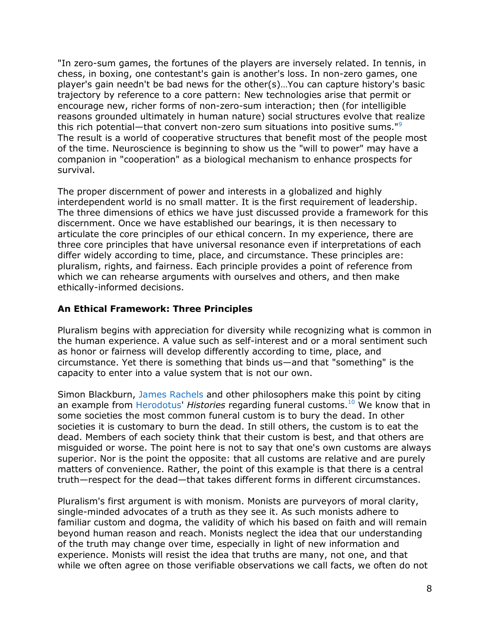"In zero-sum games, the fortunes of the players are inversely related. In tennis, in chess, in boxing, one contestant's gain is another's loss. In non-zero games, one player's gain needn't be bad news for the other(s)…You can capture history's basic trajectory by reference to a core pattern: New technologies arise that permit or encourage new, richer forms of non-zero-sum interaction; then (for intelligible reasons grounded ultimately in human nature) social structures evolve that realize this rich potential—that convert non-zero sum situations into positive sums."[9](http://www.policyinnovations.org/ideas/briefings/data/000140#_footnote9) The result is a world of cooperative structures that benefit most of the people most of the time. Neuroscience is beginning to show us the "will to power" may have a companion in "cooperation" as a biological mechanism to enhance prospects for survival.

The proper discernment of power and interests in a globalized and highly interdependent world is no small matter. It is the first requirement of leadership. The three dimensions of ethics we have just discussed provide a framework for this discernment. Once we have established our bearings, it is then necessary to articulate the core principles of our ethical concern. In my experience, there are three core principles that have universal resonance even if interpretations of each differ widely according to time, place, and circumstance. These principles are: pluralism, rights, and fairness. Each principle provides a point of reference from which we can rehearse arguments with ourselves and others, and then make ethically-informed decisions.

# **An Ethical Framework: Three Principles**

Pluralism begins with appreciation for diversity while recognizing what is common in the human experience. A value such as self-interest and or a moral sentiment such as honor or fairness will develop differently according to time, place, and circumstance. Yet there is something that binds us—and that "something" is the capacity to enter into a value system that is not our own.

Simon Blackburn, [James Rachels](http://www.jamesrachels.org/) and other philosophers make this point by citing an example from [Herodotus'](http://en.wikipedia.org/wiki/Herodotus) *Histories* regarding funeral customs.[10](http://www.policyinnovations.org/ideas/briefings/data/000140#_footnote10) We know that in some societies the most common funeral custom is to bury the dead. In other societies it is customary to burn the dead. In still others, the custom is to eat the dead. Members of each society think that their custom is best, and that others are misguided or worse. The point here is not to say that one's own customs are always superior. Nor is the point the opposite: that all customs are relative and are purely matters of convenience. Rather, the point of this example is that there is a central truth—respect for the dead—that takes different forms in different circumstances.

Pluralism's first argument is with monism. Monists are purveyors of moral clarity, single-minded advocates of a truth as they see it. As such monists adhere to familiar custom and dogma, the validity of which his based on faith and will remain beyond human reason and reach. Monists neglect the idea that our understanding of the truth may change over time, especially in light of new information and experience. Monists will resist the idea that truths are many, not one, and that while we often agree on those verifiable observations we call facts, we often do not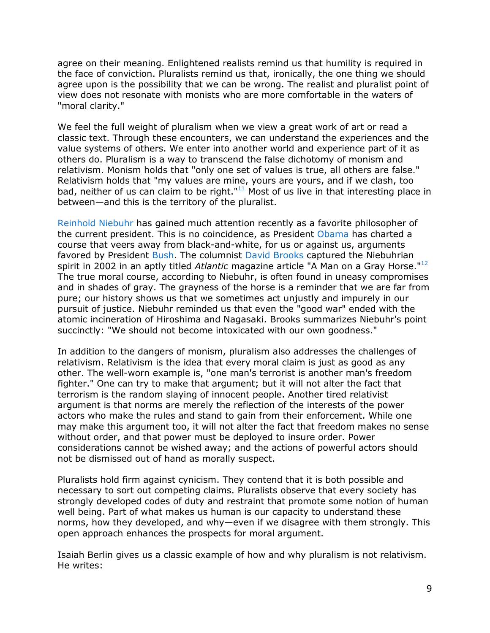agree on their meaning. Enlightened realists remind us that humility is required in the face of conviction. Pluralists remind us that, ironically, the one thing we should agree upon is the possibility that we can be wrong. The realist and pluralist point of view does not resonate with monists who are more comfortable in the waters of "moral clarity."

We feel the full weight of pluralism when we view a great work of art or read a classic text. Through these encounters, we can understand the experiences and the value systems of others. We enter into another world and experience part of it as others do. Pluralism is a way to transcend the false dichotomy of monism and relativism. Monism holds that "only one set of values is true, all others are false." Relativism holds that "my values are mine, yours are yours, and if we clash, too bad, neither of us can claim to be right." $11$  Most of us live in that interesting place in between—and this is the territory of the pluralist.

[Reinhold Niebuhr](http://www.cceia.org/people/data/reinhold_niebuhr.html) has gained much attention recently as a favorite philosopher of the current president. This is no coincidence, as President [Obama](http://en.wikipedia.org/wiki/Barack_Obama) has charted a course that veers away from black-and-white, for us or against us, arguments favored by President [Bush.](http://en.wikipedia.org/wiki/George_W._Bush) The columnist [David Brooks](http://www.nytimes.com/ref/opinion/BROOKS-BIO.html) captured the Niebuhrian spirit in 2002 in an aptly titled *Atlantic* magazine article "A Man on a Gray Horse."[12](http://www.policyinnovations.org/ideas/briefings/data/000140#_footnote12) The true moral course, according to Niebuhr, is often found in uneasy compromises and in shades of gray. The grayness of the horse is a reminder that we are far from pure; our history shows us that we sometimes act unjustly and impurely in our pursuit of justice. Niebuhr reminded us that even the "good war" ended with the atomic incineration of Hiroshima and Nagasaki. Brooks summarizes Niebuhr's point succinctly: "We should not become intoxicated with our own goodness."

In addition to the dangers of monism, pluralism also addresses the challenges of relativism. Relativism is the idea that every moral claim is just as good as any other. The well-worn example is, "one man's terrorist is another man's freedom fighter." One can try to make that argument; but it will not alter the fact that terrorism is the random slaying of innocent people. Another tired relativist argument is that norms are merely the reflection of the interests of the power actors who make the rules and stand to gain from their enforcement. While one may make this argument too, it will not alter the fact that freedom makes no sense without order, and that power must be deployed to insure order. Power considerations cannot be wished away; and the actions of powerful actors should not be dismissed out of hand as morally suspect.

Pluralists hold firm against cynicism. They contend that it is both possible and necessary to sort out competing claims. Pluralists observe that every society has strongly developed codes of duty and restraint that promote some notion of human well being. Part of what makes us human is our capacity to understand these norms, how they developed, and why—even if we disagree with them strongly. This open approach enhances the prospects for moral argument.

Isaiah Berlin gives us a classic example of how and why pluralism is not relativism. He writes: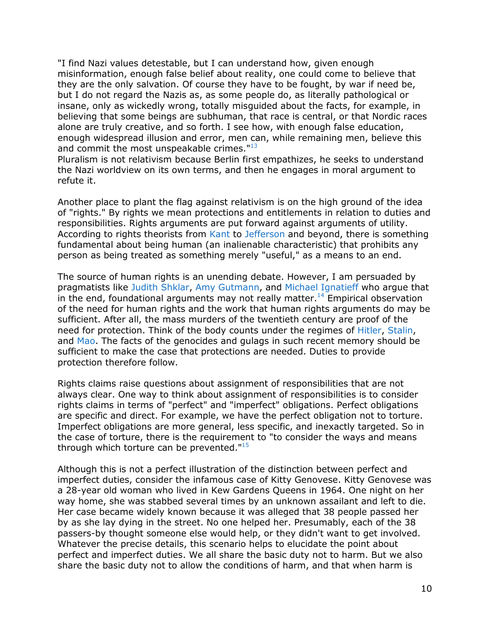"I find Nazi values detestable, but I can understand how, given enough misinformation, enough false belief about reality, one could come to believe that they are the only salvation. Of course they have to be fought, by war if need be, but I do not regard the Nazis as, as some people do, as literally pathological or insane, only as wickedly wrong, totally misguided about the facts, for example, in believing that some beings are subhuman, that race is central, or that Nordic races alone are truly creative, and so forth. I see how, with enough false education, enough widespread illusion and error, men can, while remaining men, believe this and commit the most unspeakable crimes."<sup>[13](http://www.policyinnovations.org/ideas/briefings/data/000140#_footnote13)</sup>

Pluralism is not relativism because Berlin first empathizes, he seeks to understand the Nazi worldview on its own terms, and then he engages in moral argument to refute it.

Another place to plant the flag against relativism is on the high ground of the idea of "rights." By rights we mean protections and entitlements in relation to duties and responsibilities. Rights arguments are put forward against arguments of utility. According to rights theorists from [Kant](http://www.philosophypages.com/ph/kant.htm) to [Jefferson](http://en.wikipedia.org/wiki/Thomas_Jefferson) and beyond, there is something fundamental about being human (an inalienable characteristic) that prohibits any person as being treated as something merely "useful," as a means to an end.

The source of human rights is an unending debate. However, I am persuaded by pragmatists like [Judith Shklar,](http://en.wikipedia.org/wiki/Judith_N._Shklar) [Amy Gutmann,](http://www.upenn.edu/president/gutmann/biography.html) and [Michael Ignatieff](http://www.cceia.org/people/data/michael_ignatieff.html) who argue that in the end, foundational arguments may not really matter.<sup>[14](http://www.policyinnovations.org/ideas/briefings/data/000140#_footnote14)</sup> Empirical observation of the need for human rights and the work that human rights arguments do may be sufficient. After all, the mass murders of the twentieth century are proof of the need for protection. Think of the body counts under the regimes of [Hitler,](http://en.wikipedia.org/wiki/Adolf_Hitler) [Stalin,](http://en.wikipedia.org/wiki/Joseph_Stalin) and [Mao.](http://en.wikipedia.org/wiki/Mao_Zedong) The facts of the genocides and gulags in such recent memory should be sufficient to make the case that protections are needed. Duties to provide protection therefore follow.

Rights claims raise questions about assignment of responsibilities that are not always clear. One way to think about assignment of responsibilities is to consider rights claims in terms of "perfect" and "imperfect" obligations. Perfect obligations are specific and direct. For example, we have the perfect obligation not to torture. Imperfect obligations are more general, less specific, and inexactly targeted. So in the case of torture, there is the requirement to "to consider the ways and means through which torture can be prevented. $115$  $115$ 

Although this is not a perfect illustration of the distinction between perfect and imperfect duties, consider the infamous case of Kitty Genovese. Kitty Genovese was a 28-year old woman who lived in Kew Gardens Queens in 1964. One night on her way home, she was stabbed several times by an unknown assailant and left to die. Her case became widely known because it was alleged that 38 people passed her by as she lay dying in the street. No one helped her. Presumably, each of the 38 passers-by thought someone else would help, or they didn't want to get involved. Whatever the precise details, this scenario helps to elucidate the point about perfect and imperfect duties. We all share the basic duty not to harm. But we also share the basic duty not to allow the conditions of harm, and that when harm is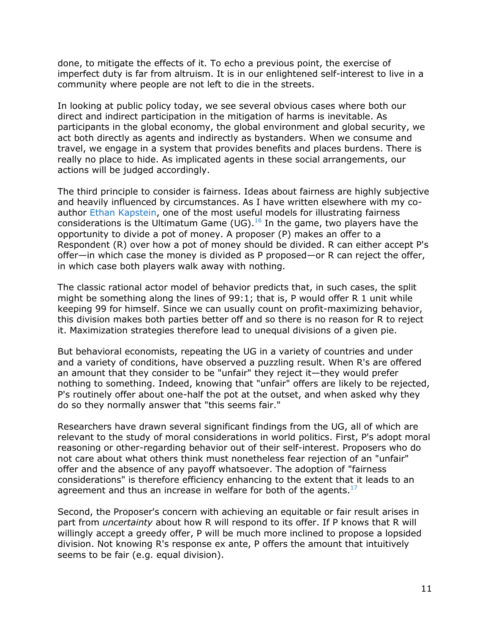done, to mitigate the effects of it. To echo a previous point, the exercise of imperfect duty is far from altruism. It is in our enlightened self-interest to live in a community where people are not left to die in the streets.

In looking at public policy today, we see several obvious cases where both our direct and indirect participation in the mitigation of harms is inevitable. As participants in the global economy, the global environment and global security, we act both directly as agents and indirectly as bystanders. When we consume and travel, we engage in a system that provides benefits and places burdens. There is really no place to hide. As implicated agents in these social arrangements, our actions will be judged accordingly.

The third principle to consider is fairness. Ideas about fairness are highly subjective and heavily influenced by circumstances. As I have written elsewhere with my coauthor [Ethan Kapstein,](http://www.cceia.org/people/data/ethan_b__kapstein.html) one of the most useful models for illustrating fairness considerations is the Ultimatum Game (UG).<sup>[16](http://www.policyinnovations.org/ideas/briefings/data/000140#_footnote16)</sup> In the game, two players have the opportunity to divide a pot of money. A proposer (P) makes an offer to a Respondent (R) over how a pot of money should be divided. R can either accept P's offer—in which case the money is divided as P proposed—or R can reject the offer, in which case both players walk away with nothing.

The classic rational actor model of behavior predicts that, in such cases, the split might be something along the lines of 99:1; that is, P would offer R 1 unit while keeping 99 for himself. Since we can usually count on profit-maximizing behavior, this division makes both parties better off and so there is no reason for R to reject it. Maximization strategies therefore lead to unequal divisions of a given pie.

But behavioral economists, repeating the UG in a variety of countries and under and a variety of conditions, have observed a puzzling result. When R's are offered an amount that they consider to be "unfair" they reject it—they would prefer nothing to something. Indeed, knowing that "unfair" offers are likely to be rejected, P's routinely offer about one-half the pot at the outset, and when asked why they do so they normally answer that "this seems fair."

Researchers have drawn several significant findings from the UG, all of which are relevant to the study of moral considerations in world politics. First, P's adopt moral reasoning or other-regarding behavior out of their self-interest. Proposers who do not care about what others think must nonetheless fear rejection of an "unfair" offer and the absence of any payoff whatsoever. The adoption of "fairness considerations" is therefore efficiency enhancing to the extent that it leads to an agreement and thus an increase in welfare for both of the agents.<sup>[17](http://www.policyinnovations.org/ideas/briefings/data/000140#_footnote17)</sup>

Second, the Proposer's concern with achieving an equitable or fair result arises in part from *uncertainty* about how R will respond to its offer. If P knows that R will willingly accept a greedy offer, P will be much more inclined to propose a lopsided division. Not knowing R's response ex ante, P offers the amount that intuitively seems to be fair (e.g. equal division).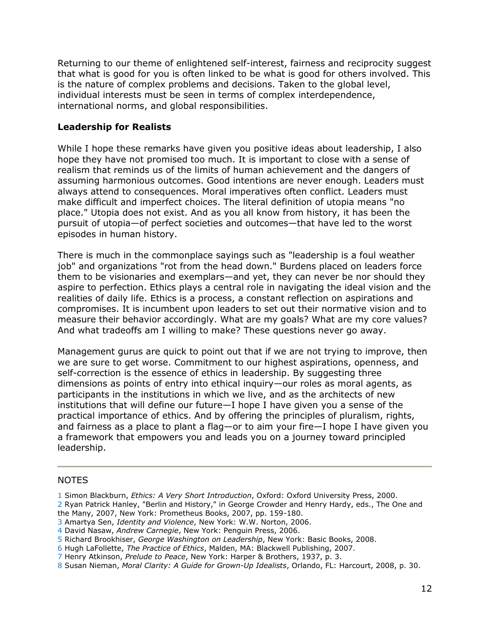Returning to our theme of enlightened self-interest, fairness and reciprocity suggest that what is good for you is often linked to be what is good for others involved. This is the nature of complex problems and decisions. Taken to the global level, individual interests must be seen in terms of complex interdependence, international norms, and global responsibilities.

## **Leadership for Realists**

While I hope these remarks have given you positive ideas about leadership, I also hope they have not promised too much. It is important to close with a sense of realism that reminds us of the limits of human achievement and the dangers of assuming harmonious outcomes. Good intentions are never enough. Leaders must always attend to consequences. Moral imperatives often conflict. Leaders must make difficult and imperfect choices. The literal definition of utopia means "no place." Utopia does not exist. And as you all know from history, it has been the pursuit of utopia—of perfect societies and outcomes—that have led to the worst episodes in human history.

There is much in the commonplace sayings such as "leadership is a foul weather job" and organizations "rot from the head down." Burdens placed on leaders force them to be visionaries and exemplars—and yet, they can never be nor should they aspire to perfection. Ethics plays a central role in navigating the ideal vision and the realities of daily life. Ethics is a process, a constant reflection on aspirations and compromises. It is incumbent upon leaders to set out their normative vision and to measure their behavior accordingly. What are my goals? What are my core values? And what tradeoffs am I willing to make? These questions never go away.

Management gurus are quick to point out that if we are not trying to improve, then we are sure to get worse. Commitment to our highest aspirations, openness, and self-correction is the essence of ethics in leadership. By suggesting three dimensions as points of entry into ethical inquiry—our roles as moral agents, as participants in the institutions in which we live, and as the architects of new institutions that will define our future—I hope I have given you a sense of the practical importance of ethics. And by offering the principles of pluralism, rights, and fairness as a place to plant a flag—or to aim your fire—I hope I have given you a framework that empowers you and leads you on a journey toward principled leadership.

#### NOTES

- [3](http://www.policyinnovations.org/ideas/briefings/data/000140#_footnoteref3) Amartya Sen, *Identity and Violence*, New York: W.W. Norton, 2006.
- [4](http://www.policyinnovations.org/ideas/briefings/data/000140#_footnoteref4) David Nasaw, *Andrew Carnegie*, New York: Penguin Press, 2006.
- [5](http://www.policyinnovations.org/ideas/briefings/data/000140#_footnoteref5) Richard Brookhiser, *George Washington on Leadership*, New York: Basic Books, 2008.
- [6](http://www.policyinnovations.org/ideas/briefings/data/000140#_footnoteref6) Hugh LaFollette, *The Practice of Ethics*, Malden, MA: Blackwell Publishing, 2007.
- [7](http://www.policyinnovations.org/ideas/briefings/data/000140#_footnoteref7) Henry Atkinson, *Prelude to Peace*, New York: Harper & Brothers, 1937, p. 3.
- [8](http://www.policyinnovations.org/ideas/briefings/data/000140#_footnoteref8) Susan Nieman, *Moral Clarity: A Guide for Grown-Up Idealists*, Orlando, FL: Harcourt, 2008, p. 30.

[<sup>1</sup>](http://www.policyinnovations.org/ideas/briefings/data/000140#_footnoteref1) Simon Blackburn, *Ethics: A Very Short Introduction*, Oxford: Oxford University Press, 2000.

[<sup>2</sup>](http://www.policyinnovations.org/ideas/briefings/data/000140#_footnoteref2) Ryan Patrick Hanley, "Berlin and History," in George Crowder and Henry Hardy, eds., The One and the Many, 2007, New York: Prometheus Books, 2007, pp. 159-180.